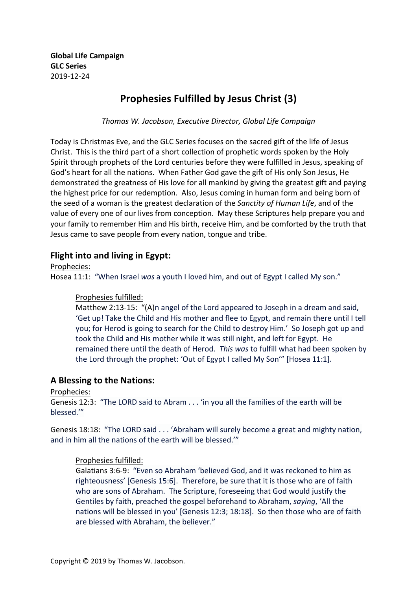**Global Life Campaign GLC Series** 2019-12-24

# **Prophesies Fulfilled by Jesus Christ (3)**

*Thomas W. Jacobson, Executive Director, Global Life Campaign*

Today is Christmas Eve, and the GLC Series focuses on the sacred gift of the life of Jesus Christ. This is the third part of a short collection of prophetic words spoken by the Holy Spirit through prophets of the Lord centuries before they were fulfilled in Jesus, speaking of God's heart for all the nations. When Father God gave the gift of His only Son Jesus, He demonstrated the greatness of His love for all mankind by giving the greatest gift and paying the highest price for our redemption. Also, Jesus coming in human form and being born of the seed of a woman is the greatest declaration of the *Sanctity of Human Life*, and of the value of every one of our lives from conception. May these Scriptures help prepare you and your family to remember Him and His birth, receive Him, and be comforted by the truth that Jesus came to save people from every nation, tongue and tribe.

# **Flight into and living in Egypt:**

Prophecies: 

Hosea 11:1: "When Israel was a youth I loved him, and out of Egypt I called My son."

#### Prophesies fulfilled:

Matthew 2:13-15: "(A)n angel of the Lord appeared to Joseph in a dream and said, 'Get up! Take the Child and His mother and flee to Egypt, and remain there until I tell you; for Herod is going to search for the Child to destroy Him.' So Joseph got up and took the Child and His mother while it was still night, and left for Egypt. He remained there until the death of Herod. This was to fulfill what had been spoken by the Lord through the prophet: 'Out of Egypt I called My Son'" [Hosea 11:1].

## **A** Blessing to the Nations:

Prophecies: 

Genesis 12:3: "The LORD said to Abram . . . 'in you all the families of the earth will be blessed.'"

Genesis 18:18: "The LORD said . . . 'Abraham will surely become a great and mighty nation, and in him all the nations of the earth will be blessed.""

#### Prophesies fulfilled:

Galatians 3:6-9: "Even so Abraham 'believed God, and it was reckoned to him as righteousness' [Genesis 15:6]. Therefore, be sure that it is those who are of faith who are sons of Abraham. The Scripture, foreseeing that God would justify the Gentiles by faith, preached the gospel beforehand to Abraham, *saying*, 'All the nations will be blessed in you' [Genesis 12:3; 18:18]. So then those who are of faith are blessed with Abraham, the believer."